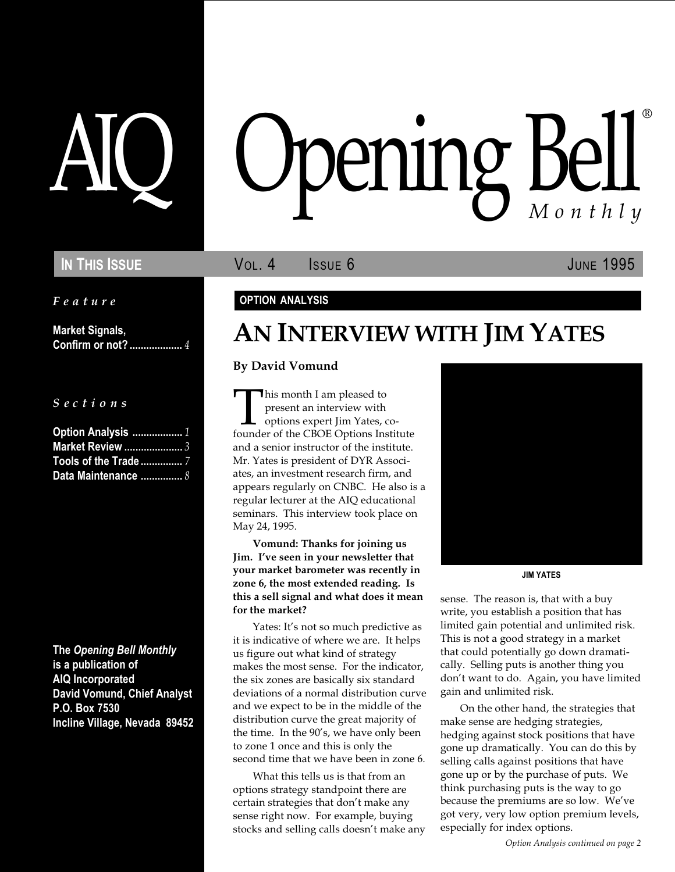Feature

Market Signals, Confirm or not? ................... 4

S e c t i o n s

| Option Analysis  1          |  |
|-----------------------------|--|
| Market Review  3            |  |
| Tools of the Trade  7       |  |
| Data Maintenance $\ldots$ 8 |  |

The Opening Bell Monthly is a publication of AIQ Incorporated David Vomund, Chief Analyst P.O. Box 7530 Incline Village, Nevada 89452

# pening Bel Monthly ®

IN THIS ISSUE **VOL. 4** ISSUE 6 JUNE 1995

### OPTION ANALYSIS

# AN INTERVIEW WITH JIM YATES

### By David Vomund

This month I am pleased to<br>present an interview with<br>options expert Jim Yates, co-<br>founder of the CBOE Options Institute present an interview with options expert Jim Yates, coand a senior instructor of the institute. Mr. Yates is president of DYR Associates, an investment research firm, and appears regularly on CNBC. He also is a regular lecturer at the AIQ educational seminars. This interview took place on May 24, 1995.

Vomund: Thanks for joining us Jim. I've seen in your newsletter that your market barometer was recently in zone 6, the most extended reading. Is this a sell signal and what does it mean for the market?

Yates: It's not so much predictive as it is indicative of where we are. It helps us figure out what kind of strategy makes the most sense. For the indicator, the six zones are basically six standard deviations of a normal distribution curve and we expect to be in the middle of the distribution curve the great majority of the time. In the 90's, we have only been to zone 1 once and this is only the second time that we have been in zone 6.

What this tells us is that from an options strategy standpoint there are certain strategies that don't make any sense right now. For example, buying stocks and selling calls doesn't make any



JIM YATES

sense. The reason is, that with a buy write, you establish a position that has limited gain potential and unlimited risk. This is not a good strategy in a market that could potentially go down dramatically. Selling puts is another thing you don't want to do. Again, you have limited gain and unlimited risk.

On the other hand, the strategies that make sense are hedging strategies, hedging against stock positions that have gone up dramatically. You can do this by selling calls against positions that have gone up or by the purchase of puts. We think purchasing puts is the way to go because the premiums are so low. We've got very, very low option premium levels, especially for index options.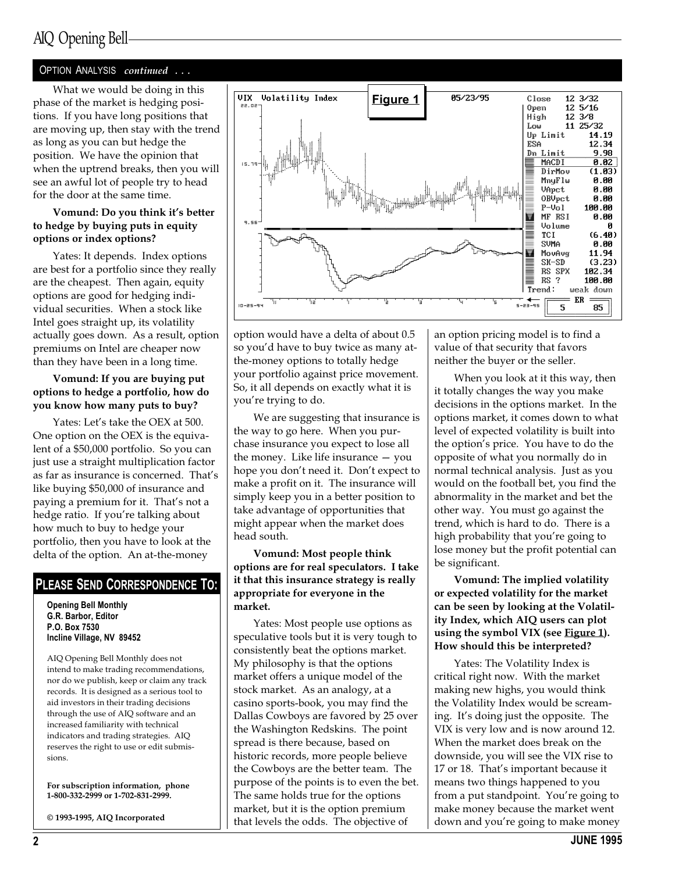### OPTION ANALYSIS continued ...

What we would be doing in this phase of the market is hedging positions. If you have long positions that are moving up, then stay with the trend as long as you can but hedge the position. We have the opinion that when the uptrend breaks, then you will see an awful lot of people try to head for the door at the same time.

### Vomund: Do you think it's better to hedge by buying puts in equity options or index options?

Yates: It depends. Index options are best for a portfolio since they really are the cheapest. Then again, equity options are good for hedging individual securities. When a stock like Intel goes straight up, its volatility actually goes down. As a result, option premiums on Intel are cheaper now than they have been in a long time.

### Vomund: If you are buying put options to hedge a portfolio, how do you know how many puts to buy?

Yates: Let's take the OEX at 500. One option on the OEX is the equivalent of a \$50,000 portfolio. So you can just use a straight multiplication factor as far as insurance is concerned. That's like buying \$50,000 of insurance and paying a premium for it. That's not a hedge ratio. If you're talking about how much to buy to hedge your portfolio, then you have to look at the delta of the option. An at-the-money

### PLEASE SEND CORRESPONDENCE TO:

Opening Bell Monthly G.R. Barbor, Editor P.O. Box 7530 Incline Village, NV 89452

AIQ Opening Bell Monthly does not intend to make trading recommendations, nor do we publish, keep or claim any track records. It is designed as a serious tool to aid investors in their trading decisions through the use of AIQ software and an increased familiarity with technical indicators and trading strategies. AIQ reserves the right to use or edit submissions.

For subscription information, phone 1-800-332-2999 or 1-702-831-2999.

© 1993-1995, AIQ Incorporated



option would have a delta of about 0.5 so you'd have to buy twice as many atthe-money options to totally hedge your portfolio against price movement. So, it all depends on exactly what it is you're trying to do.

We are suggesting that insurance is the way to go here. When you purchase insurance you expect to lose all the money. Like life insurance  $-$  you hope you don't need it. Don't expect to make a profit on it. The insurance will simply keep you in a better position to take advantage of opportunities that might appear when the market does head south.

Vomund: Most people think options are for real speculators. I take it that this insurance strategy is really appropriate for everyone in the market.

Yates: Most people use options as speculative tools but it is very tough to consistently beat the options market. My philosophy is that the options market offers a unique model of the stock market. As an analogy, at a casino sports-book, you may find the Dallas Cowboys are favored by 25 over the Washington Redskins. The point spread is there because, based on historic records, more people believe the Cowboys are the better team. The purpose of the points is to even the bet. The same holds true for the options market, but it is the option premium that levels the odds. The objective of

an option pricing model is to find a value of that security that favors neither the buyer or the seller.

When you look at it this way, then it totally changes the way you make decisions in the options market. In the options market, it comes down to what level of expected volatility is built into the option's price. You have to do the opposite of what you normally do in normal technical analysis. Just as you would on the football bet, you find the abnormality in the market and bet the other way. You must go against the trend, which is hard to do. There is a high probability that you're going to lose money but the profit potential can be significant.

Vomund: The implied volatility or expected volatility for the market can be seen by looking at the Volatility Index, which AIQ users can plot using the symbol VIX (see Figure 1). How should this be interpreted?

Yates: The Volatility Index is critical right now. With the market making new highs, you would think the Volatility Index would be screaming. It's doing just the opposite. The VIX is very low and is now around 12. When the market does break on the downside, you will see the VIX rise to 17 or 18. That's important because it means two things happened to you from a put standpoint. You're going to make money because the market went down and you're going to make money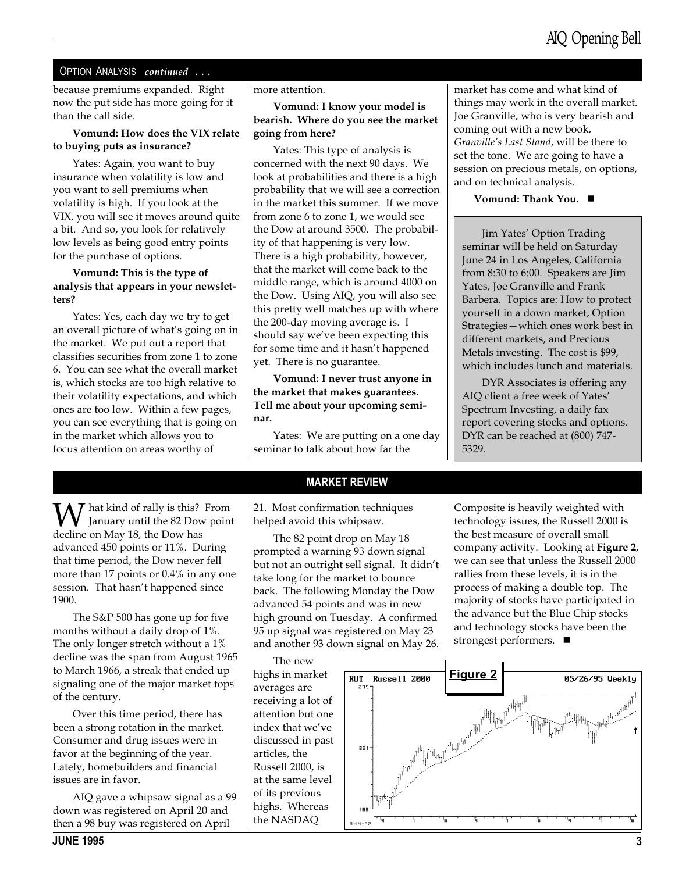### OPTION ANALYSIS continued ...

because premiums expanded. Right now the put side has more going for it than the call side.

### Vomund: How does the VIX relate to buying puts as insurance?

Yates: Again, you want to buy insurance when volatility is low and you want to sell premiums when volatility is high. If you look at the VIX, you will see it moves around quite a bit. And so, you look for relatively low levels as being good entry points for the purchase of options.

### Vomund: This is the type of analysis that appears in your newsletters?

Yates: Yes, each day we try to get an overall picture of what's going on in the market. We put out a report that classifies securities from zone 1 to zone 6. You can see what the overall market is, which stocks are too high relative to their volatility expectations, and which ones are too low. Within a few pages, you can see everything that is going on in the market which allows you to focus attention on areas worthy of

more attention.

### Vomund: I know your model is bearish. Where do you see the market going from here?

Yates: This type of analysis is concerned with the next 90 days. We look at probabilities and there is a high probability that we will see a correction in the market this summer. If we move from zone 6 to zone 1, we would see the Dow at around 3500. The probability of that happening is very low. There is a high probability, however, that the market will come back to the middle range, which is around 4000 on the Dow. Using AIQ, you will also see this pretty well matches up with where the 200-day moving average is. I should say we've been expecting this for some time and it hasn't happened yet. There is no guarantee.

Vomund: I never trust anyone in the market that makes guarantees. Tell me about your upcoming seminar.

Yates: We are putting on a one day seminar to talk about how far the

market has come and what kind of things may work in the overall market. Joe Granville, who is very bearish and coming out with a new book, Granville's Last Stand, will be there to set the tone. We are going to have a session on precious metals, on options, and on technical analysis.

Vomund: Thank You.  $\blacksquare$ 

Jim Yates' Option Trading seminar will be held on Saturday June 24 in Los Angeles, California from 8:30 to 6:00. Speakers are Jim Yates, Joe Granville and Frank Barbera. Topics are: How to protect yourself in a down market, Option Strategies-which ones work best in different markets, and Precious Metals investing. The cost is \$99, which includes lunch and materials.

DYR Associates is offering any AIQ client a free week of Yates Spectrum Investing, a daily fax report covering stocks and options. DYR can be reached at (800) 747- 5329.

**W** hat kind of rally is this? From<br>decline on May 18, the Dow has decline on May 18, the Dow has advanced 450 points or 11%. During that time period, the Dow never fell more than 17 points or 0.4% in any one session. That hasn't happened since 1900.

The S&P 500 has gone up for five months without a daily drop of 1%. The only longer stretch without a 1% decline was the span from August 1965 to March 1966, a streak that ended up signaling one of the major market tops of the century.

Over this time period, there has been a strong rotation in the market. Consumer and drug issues were in favor at the beginning of the year. Lately, homebuilders and financial issues are in favor.

AIQ gave a whipsaw signal as a 99 down was registered on April 20 and then a 98 buy was registered on April

### MARKET REVIEW

21. Most confirmation techniques helped avoid this whipsaw.

The 82 point drop on May 18 prompted a warning 93 down signal but not an outright sell signal. It didn't take long for the market to bounce back. The following Monday the Dow advanced 54 points and was in new high ground on Tuesday. A confirmed 95 up signal was registered on May 23 and another 93 down signal on May 26.

The new highs in market averages are receiving a lot of attention but one index that we've discussed in past articles, the Russell 2000, is at the same level of its previous highs. Whereas the NASDAQ

Composite is heavily weighted with technology issues, the Russell 2000 is the best measure of overall small company activity. Looking at Figure 2, we can see that unless the Russell 2000 rallies from these levels, it is in the process of making a double top. The majority of stocks have participated in the advance but the Blue Chip stocks and technology stocks have been the strongest performers.  $\blacksquare$ 

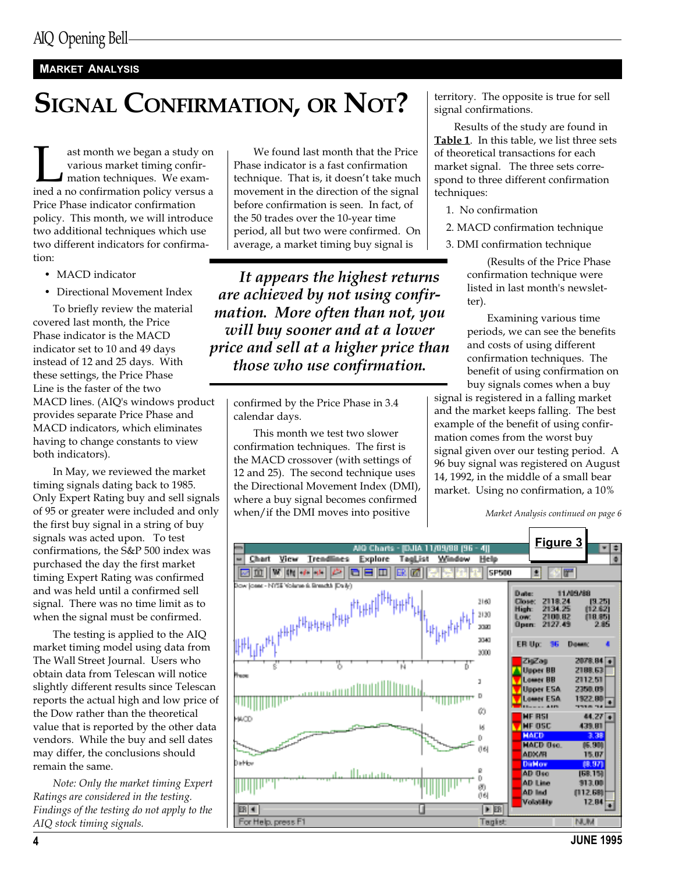### MARKET ANALYSIS

# SIGNAL CONFIRMATION, OR NOT?

ast month we began a study on<br>various market timing confir-<br>mation techniques. We exam-<br>ined a no confirmation policy versus a various market timing confirmation techniques. We exam-Price Phase indicator confirmation policy. This month, we will introduce two additional techniques which use two different indicators for confirmation:

- MACD indicator
- Directional Movement Index

To briefly review the material covered last month, the Price Phase indicator is the MACD indicator set to 10 and 49 days instead of 12 and 25 days. With these settings, the Price Phase Line is the faster of the two MACD lines. (AIQ's windows product provides separate Price Phase and MACD indicators, which eliminates having to change constants to view both indicators).

In May, we reviewed the market timing signals dating back to 1985. Only Expert Rating buy and sell signals of 95 or greater were included and only the first buy signal in a string of buy signals was acted upon. To test confirmations, the S&P 500 index was purchased the day the first market timing Expert Rating was confirmed and was held until a confirmed sell signal. There was no time limit as to when the signal must be confirmed.

The testing is applied to the AIQ market timing model using data from The Wall Street Journal. Users who obtain data from Telescan will notice slightly different results since Telescan reports the actual high and low price of the Dow rather than the theoretical value that is reported by the other data vendors. While the buy and sell dates may differ, the conclusions should remain the same.

Note: Only the market timing Expert Ratings are considered in the testing. Findings of the testing do not apply to the AIQ stock timing signals.

We found last month that the Price Phase indicator is a fast confirmation technique. That is, it doesn't take much movement in the direction of the signal before confirmation is seen. In fact, of the 50 trades over the 10-year time period, all but two were confirmed. On average, a market timing buy signal is

It appears the highest returns are achieved by not using confirmation. More often than not, you will buy sooner and at a lower price and sell at a higher price than those who use confirmation.

confirmed by the Price Phase in 3.4 calendar days.

This month we test two slower confirmation techniques. The first is the MACD crossover (with settings of 12 and 25). The second technique uses the Directional Movement Index (DMI), where a buy signal becomes confirmed when/if the DMI moves into positive

territory. The opposite is true for sell signal confirmations.

Results of the study are found in Table 1. In this table, we list three sets of theoretical transactions for each market signal. The three sets correspond to three different confirmation techniques:

1. No confirmation

2. MACD confirmation technique

3. DMI confirmation technique

(Results of the Price Phase confirmation technique were listed in last month's newsletter).

Examining various time periods, we can see the benefits and costs of using different confirmation techniques. The benefit of using confirmation on buy signals comes when a buy

signal is registered in a falling market and the market keeps falling. The best example of the benefit of using confirmation comes from the worst buy signal given over our testing period. A 96 buy signal was registered on August 14, 1992, in the middle of a small bear market. Using no confirmation, a 10%

Market Analysis continued on page 6

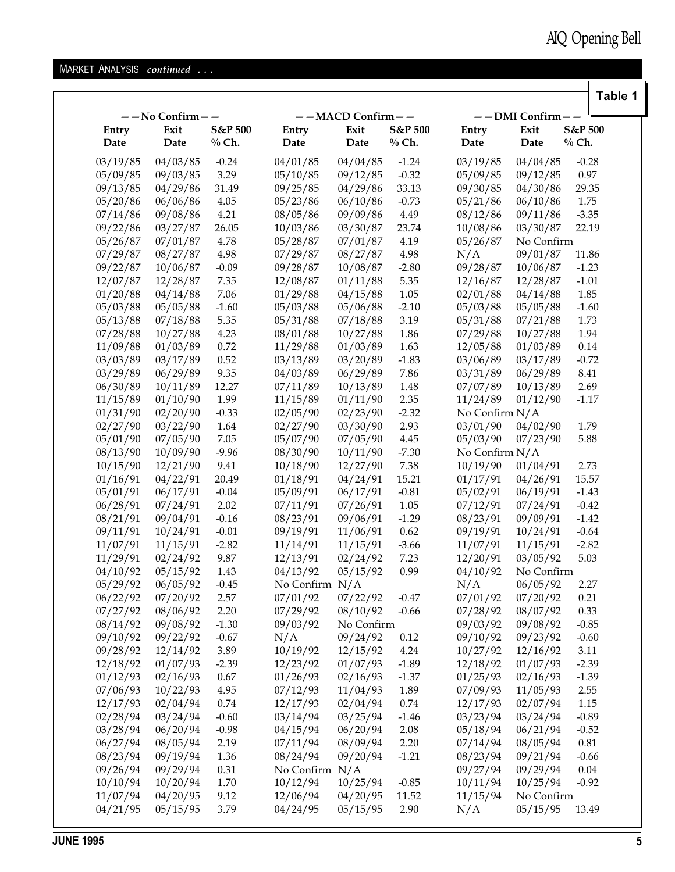### MARKET ANALYSIS continued . . .

|               |                |                               |                  |                  |                    |                |                |                               | Table 1 |
|---------------|----------------|-------------------------------|------------------|------------------|--------------------|----------------|----------------|-------------------------------|---------|
|               | --No Confirm-- |                               |                  | --MACD Confirm-- |                    |                | -- DMI Confirm |                               |         |
| Entry<br>Date | Exit<br>Date   | <b>S&amp;P 500</b><br>$%$ Ch. | Entry<br>Date    | Exit<br>Date     | S&P 500<br>$%$ Ch. | Entry<br>Date  | Exit<br>Date   | <b>S&amp;P 500</b><br>$%$ Ch. |         |
| 03/19/85      | 04/03/85       | $-0.24$                       | 04/01/85         | 04/04/85         | $-1.24$            | 03/19/85       | 04/04/85       | $-0.28$                       |         |
| 05/09/85      | 09/03/85       | 3.29                          | 05/10/85         | 09/12/85         | $-0.32$            | 05/09/85       | 09/12/85       | 0.97                          |         |
| 09/13/85      | 04/29/86       | 31.49                         | 09/25/85         | 04/29/86         | 33.13              | 09/30/85       | 04/30/86       | 29.35                         |         |
| 05/20/86      | 06/06/86       | 4.05                          | 05/23/86         | 06/10/86         | $-0.73$            | 05/21/86       | 06/10/86       | 1.75                          |         |
| 07/14/86      | 09/08/86       | 4.21                          | 08/05/86         | 09/09/86         | 4.49               | 08/12/86       | 09/11/86       | $-3.35$                       |         |
| 09/22/86      | 03/27/87       | 26.05                         | 10/03/86         | 03/30/87         | 23.74              | 10/08/86       | 03/30/87       | 22.19                         |         |
| 05/26/87      | 07/01/87       | 4.78                          | 05/28/87         | 07/01/87         | 4.19               | 05/26/87       | No Confirm     |                               |         |
| 07/29/87      | 08/27/87       | 4.98                          | 07/29/87         | 08/27/87         | 4.98               | N/A            | 09/01/87       | 11.86                         |         |
| 09/22/87      | 10/06/87       | $-0.09$                       | 09/28/87         | 10/08/87         | $-2.80$            | 09/28/87       | 10/06/87       | $-1.23$                       |         |
| 12/07/87      | 12/28/87       | 7.35                          | 12/08/87         | 01/11/88         | 5.35               | 12/16/87       | 12/28/87       | $-1.01$                       |         |
| 01/20/88      | 04/14/88       | 7.06                          | 01/29/88         | 04/15/88         | 1.05               | 02/01/88       | 04/14/88       | 1.85                          |         |
| 05/03/88      | 05/05/88       | $-1.60$                       | 05/03/88         | 05/06/88         | $-2.10$            | 05/03/88       | 05/05/88       | $-1.60$                       |         |
| 05/13/88      | 07/18/88       | 5.35                          | 05/31/88         | 07/18/88         | 3.19               | 05/31/88       | 07/21/88       | 1.73                          |         |
| 07/28/88      | 10/27/88       | 4.23                          | 08/01/88         | 10/27/88         | 1.86               | 07/29/88       | 10/27/88       | 1.94                          |         |
| 11/09/88      | 01/03/89       | 0.72                          | 11/29/88         | 01/03/89         | 1.63               | 12/05/88       | 01/03/89       | 0.14                          |         |
| 03/03/89      | 03/17/89       | 0.52                          | 03/13/89         | 03/20/89         | $-1.83$            | 03/06/89       | 03/17/89       | $-0.72$                       |         |
| 03/29/89      | 06/29/89       | 9.35                          | 04/03/89         | 06/29/89         | 7.86               | 03/31/89       | 06/29/89       | 8.41                          |         |
| 06/30/89      | 10/11/89       | 12.27                         | 07/11/89         | 10/13/89         | 1.48               | 07/07/89       | 10/13/89       | 2.69                          |         |
| 11/15/89      | 01/10/90       | 1.99                          | 11/15/89         | 01/11/90         | 2.35               | 11/24/89       | 01/12/90       | $-1.17$                       |         |
| 01/31/90      | 02/20/90       | $-0.33$                       | 02/05/90         | 02/23/90         | $-2.32$            | No Confirm N/A |                |                               |         |
| 02/27/90      | 03/22/90       | 1.64                          | 02/27/90         | 03/30/90         | 2.93               | 03/01/90       | 04/02/90       | 1.79                          |         |
| 05/01/90      | 07/05/90       | 7.05                          | 05/07/90         | 07/05/90         | 4.45               | 05/03/90       | 07/23/90       | 5.88                          |         |
| 08/13/90      | 10/09/90       | $-9.96$                       | 08/30/90         | 10/11/90         | $-7.30$            | No Confirm N/A |                |                               |         |
| 10/15/90      | 12/21/90       | 9.41                          | 10/18/90         | 12/27/90         | 7.38               | 10/19/90       | 01/04/91       | 2.73                          |         |
| 01/16/91      | 04/22/91       | 20.49                         | 01/18/91         | 04/24/91         | 15.21              | 01/17/91       | 04/26/91       | 15.57                         |         |
| 05/01/91      | 06/17/91       | $-0.04$                       | 05/09/91         | 06/17/91         | $-0.81$            | 05/02/91       | 06/19/91       | $-1.43$                       |         |
|               |                | 2.02                          |                  |                  |                    |                |                | $-0.42$                       |         |
| 06/28/91      | 07/24/91       |                               | 07/11/91         | 07/26/91         | 1.05               | 07/12/91       | 07/24/91       |                               |         |
| 08/21/91      | 09/04/91       | $-0.16$                       | 08/23/91         | 09/06/91         | $-1.29$            | 08/23/91       | 09/09/91       | $-1.42$                       |         |
| 09/11/91      | 10/24/91       | $-0.01$                       | 09/19/91         | 11/06/91         | 0.62               | 09/19/91       | 10/24/91       | $-0.64$                       |         |
| 11/07/91      | 11/15/91       | $-2.82$                       | 11/14/91         | 11/15/91         | $-3.66$            | 11/07/91       | 11/15/91       | $-2.82$                       |         |
| 11/29/91      | 02/24/92       | 9.87                          | 12/13/91         | 02/24/92         | 7.23               | 12/20/91       | 03/05/92       | 5.03                          |         |
| 04/10/92      | 05/15/92       | 1.43                          | 04/13/92         | 05/15/92         | 0.99               | 04/10/92       | No Confirm     |                               |         |
| 05/29/92      | 06/05/92       | $-0.45$                       | No Confirm $N/A$ |                  |                    | N/A            | 06/05/92       | 2.27                          |         |
| 06/22/92      | 07/20/92       | 2.57                          | 07/01/92         | 07/22/92         | $-0.47$            | 07/01/92       | 07/20/92       | 0.21                          |         |
| 07/27/92      | 08/06/92       | 2.20                          | 07/29/92         | 08/10/92         | $-0.66$            | 07/28/92       | 08/07/92       | 0.33                          |         |
| 08/14/92      | 09/08/92       | $-1.30$                       | 09/03/92         | No Confirm       |                    | 09/03/92       | 09/08/92       | $-0.85$                       |         |
| 09/10/92      | 09/22/92       | $-0.67$                       | N/A              | 09/24/92         | 0.12               | 09/10/92       | 09/23/92       | $-0.60$                       |         |
| 09/28/92      | 12/14/92       | 3.89                          | 10/19/92         | 12/15/92         | 4.24               | 10/27/92       | 12/16/92       | 3.11                          |         |
| 12/18/92      | 01/07/93       | $-2.39$                       | 12/23/92         | 01/07/93         | $-1.89$            | 12/18/92       | 01/07/93       | $-2.39$                       |         |
| 01/12/93      | 02/16/93       | 0.67                          | 01/26/93         | 02/16/93         | $-1.37$            | 01/25/93       | 02/16/93       | $-1.39$                       |         |
| 07/06/93      | 10/22/93       | 4.95                          | 07/12/93         | 11/04/93         | 1.89               | 07/09/93       | 11/05/93       | 2.55                          |         |
| 12/17/93      | 02/04/94       | 0.74                          | 12/17/93         | 02/04/94         | 0.74               | 12/17/93       | 02/07/94       | 1.15                          |         |
| 02/28/94      | 03/24/94       | $-0.60$                       | 03/14/94         | 03/25/94         | $-1.46$            | 03/23/94       | 03/24/94       | $-0.89$                       |         |
| 03/28/94      | 06/20/94       | $-0.98$                       | 04/15/94         | 06/20/94         | 2.08               | 05/18/94       | 06/21/94       | $-0.52$                       |         |
| 06/27/94      | 08/05/94       | 2.19                          | 07/11/94         | 08/09/94         | 2.20               | 07/14/94       | 08/05/94       | $\rm 0.81$                    |         |
| 08/23/94      | 09/19/94       | 1.36                          | 08/24/94         | 09/20/94         | $-1.21$            | 08/23/94       | 09/21/94       | $-0.66$                       |         |
| 09/26/94      | 09/29/94       | 0.31                          | No Confirm N/A   |                  |                    | 09/27/94       | 09/29/94       | $0.04\,$                      |         |
| 10/10/94      | 10/20/94       | 1.70                          | 10/12/94         | 10/25/94         | $-0.85$            | 10/11/94       | 10/25/94       | $-0.92$                       |         |
| 11/07/94      | 04/20/95       | 9.12                          | 12/06/94         | 04/20/95         | 11.52              | 11/15/94       | No Confirm     |                               |         |
| 04/21/95      | 05/15/95       | 3.79                          | 04/24/95         | 05/15/95         | 2.90               | N/A            | 05/15/95       | 13.49                         |         |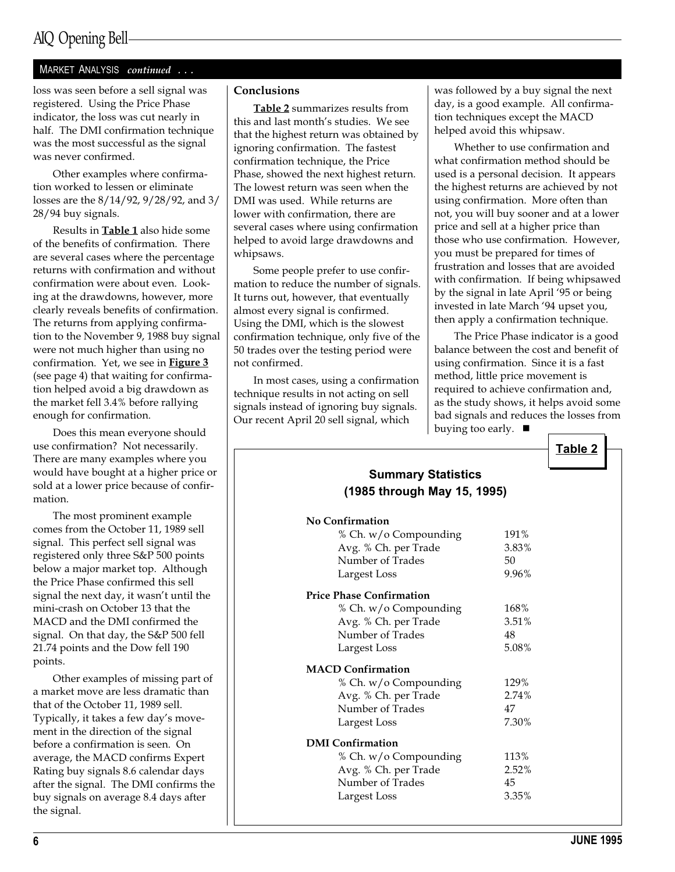## AIQ Opening Bell

### MARKET ANALYSIS continued ...

loss was seen before a sell signal was registered. Using the Price Phase indicator, the loss was cut nearly in half. The DMI confirmation technique was the most successful as the signal was never confirmed.

Other examples where confirmation worked to lessen or eliminate losses are the 8/14/92, 9/28/92, and 3/ 28/94 buy signals.

Results in **Table 1** also hide some of the benefits of confirmation. There are several cases where the percentage returns with confirmation and without confirmation were about even. Looking at the drawdowns, however, more clearly reveals benefits of confirmation. The returns from applying confirmation to the November 9, 1988 buy signal were not much higher than using no confirmation. Yet, we see in **Figure 3** (see page 4) that waiting for confirmation helped avoid a big drawdown as the market fell 3.4% before rallying enough for confirmation.

Does this mean everyone should use confirmation? Not necessarily. There are many examples where you would have bought at a higher price or sold at a lower price because of confirmation.

The most prominent example comes from the October 11, 1989 sell signal. This perfect sell signal was registered only three S&P 500 points below a major market top. Although the Price Phase confirmed this sell signal the next day, it wasn't until the mini-crash on October 13 that the MACD and the DMI confirmed the signal. On that day, the S&P 500 fell 21.74 points and the Dow fell 190 points.

Other examples of missing part of a market move are less dramatic than that of the October 11, 1989 sell. Typically, it takes a few day's movement in the direction of the signal before a confirmation is seen. On average, the MACD confirms Expert Rating buy signals 8.6 calendar days after the signal. The DMI confirms the buy signals on average 8.4 days after the signal.

### Conclusions

Table 2 summarizes results from this and last month's studies. We see that the highest return was obtained by ignoring confirmation. The fastest confirmation technique, the Price Phase, showed the next highest return. The lowest return was seen when the DMI was used. While returns are lower with confirmation, there are several cases where using confirmation helped to avoid large drawdowns and whipsaws.

Some people prefer to use confirmation to reduce the number of signals. It turns out, however, that eventually almost every signal is confirmed. Using the DMI, which is the slowest confirmation technique, only five of the 50 trades over the testing period were not confirmed.

In most cases, using a confirmation technique results in not acting on sell signals instead of ignoring buy signals. Our recent April 20 sell signal, which

was followed by a buy signal the next day, is a good example. All confirmation techniques except the MACD helped avoid this whipsaw.

Whether to use confirmation and what confirmation method should be used is a personal decision. It appears the highest returns are achieved by not using confirmation. More often than not, you will buy sooner and at a lower price and sell at a higher price than those who use confirmation. However, you must be prepared for times of frustration and losses that are avoided with confirmation. If being whipsawed by the signal in late April '95 or being invested in late March 94 upset you, then apply a confirmation technique.

The Price Phase indicator is a good balance between the cost and benefit of using confirmation. Since it is a fast method, little price movement is required to achieve confirmation and, as the study shows, it helps avoid some bad signals and reduces the losses from buying too early.  $\blacksquare$ 

| <b>Summary Statistics</b>       |       |
|---------------------------------|-------|
| (1985 through May 15, 1995)     |       |
| No Confirmation                 |       |
| % Ch. w/o Compounding           | 191%  |
| Avg. % Ch. per Trade            | 3.83% |
| Number of Trades                | 50    |
| Largest Loss                    | 9.96% |
| <b>Price Phase Confirmation</b> |       |
| % Ch. w/o Compounding           | 168%  |
| Avg. % Ch. per Trade            | 3.51% |
| Number of Trades                | 48    |
| Largest Loss                    | 5.08% |
| <b>MACD Confirmation</b>        |       |
| % Ch. w/o Compounding           | 129%  |
| Avg. % Ch. per Trade            | 2.74% |
| Number of Trades                | 47    |
| Largest Loss                    | 7.30% |
| <b>DMI</b> Confirmation         |       |
| % Ch. w/o Compounding           | 113%  |
| Avg. % Ch. per Trade            | 2.52% |
| Number of Trades                | 45    |
| Largest Loss                    | 3.35% |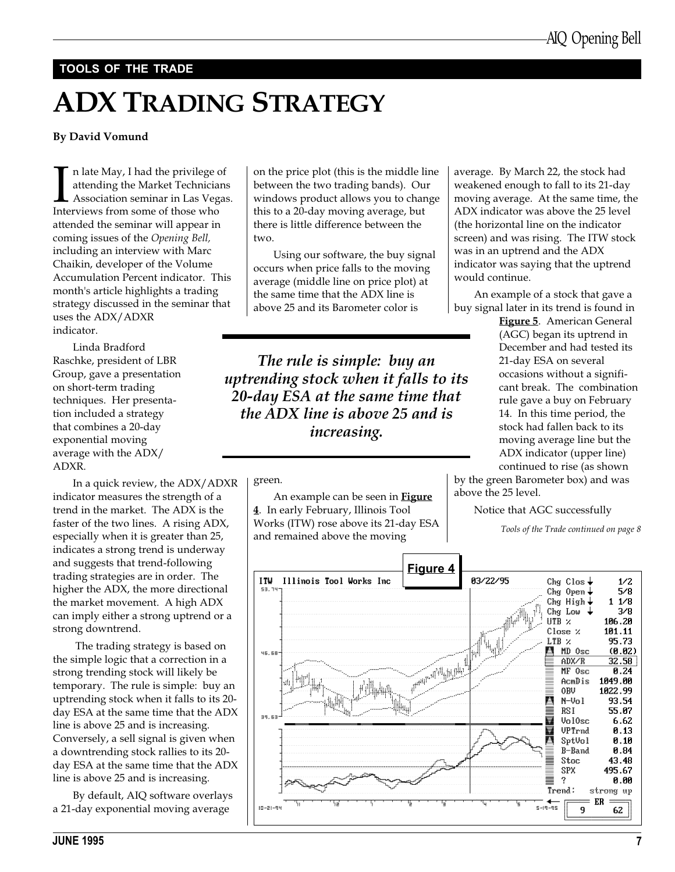### TOOLS OF THE TRADE

# ADX TRADING STRATEGY

### By David Vomund

In late May, I had the privilege attending the Market Technicia<br>Association seminar in Las Veg<br>Interviews from some of those who n late May, I had the privilege of attending the Market Technicians Association seminar in Las Vegas. attended the seminar will appear in coming issues of the Opening Bell, including an interview with Marc Chaikin, developer of the Volume Accumulation Percent indicator. This month's article highlights a trading strategy discussed in the seminar that uses the ADX/ADXR indicator.

Linda Bradford Raschke, president of LBR Group, gave a presentation on short-term trading techniques. Her presentation included a strategy that combines a 20-day exponential moving average with the ADX/ ADXR.

In a quick review, the ADX/ADXR indicator measures the strength of a trend in the market. The ADX is the faster of the two lines. A rising ADX, especially when it is greater than 25, indicates a strong trend is underway and suggests that trend-following trading strategies are in order. The higher the ADX, the more directional the market movement. A high ADX can imply either a strong uptrend or a strong downtrend.

 The trading strategy is based on the simple logic that a correction in a strong trending stock will likely be temporary. The rule is simple: buy an uptrending stock when it falls to its 20 day ESA at the same time that the ADX line is above 25 and is increasing. Conversely, a sell signal is given when a downtrending stock rallies to its 20 day ESA at the same time that the ADX line is above 25 and is increasing.

By default, AIQ software overlays a 21-day exponential moving average

on the price plot (this is the middle line between the two trading bands). Our windows product allows you to change this to a 20-day moving average, but there is little difference between the two.

Using our software, the buy signal occurs when price falls to the moving average (middle line on price plot) at the same time that the ADX line is above 25 and its Barometer color is

The rule is simple: buy an uptrending stock when it falls to its 20-day ESA at the same time that the ADX line is above 25 and is increasing.

green.

An example can be seen in **Figure** 4. In early February, Illinois Tool Works (ITW) rose above its 21-day ESA and remained above the moving

average. By March 22, the stock had weakened enough to fall to its 21-day moving average. At the same time, the ADX indicator was above the 25 level (the horizontal line on the indicator screen) and was rising. The ITW stock was in an uptrend and the ADX indicator was saying that the uptrend would continue.

An example of a stock that gave a buy signal later in its trend is found in

> Figure 5. American General (AGC) began its uptrend in December and had tested its 21-day ESA on several occasions without a significant break. The combination rule gave a buy on February 14. In this time period, the stock had fallen back to its moving average line but the ADX indicator (upper line) continued to rise (as shown

by the green Barometer box) and was above the 25 level.

Notice that AGC successfully

Tools of the Trade continued on page 8



JUNE 1995 7